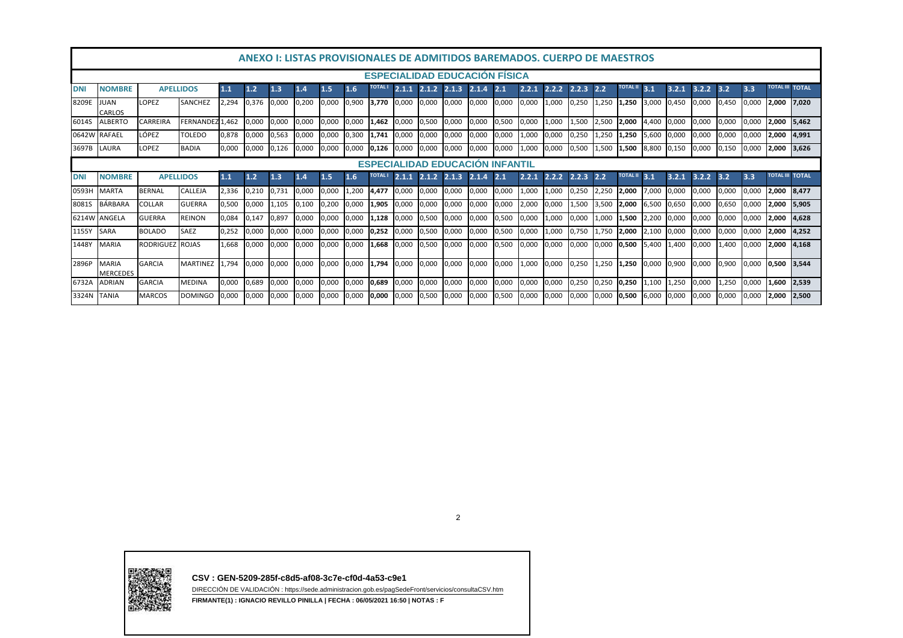| <u>ANEXO I: LISTAS PROVISIONALES DE ADMITIDOS BAREMADOS. CUERPO DE MAESTROS</u> |                                   |                  |                 |       |       |       |       |       |       |             |       |                       |                       |       |       |       |       |             |                 |                 |       |       |       |       |                        |                        |       |
|---------------------------------------------------------------------------------|-----------------------------------|------------------|-----------------|-------|-------|-------|-------|-------|-------|-------------|-------|-----------------------|-----------------------|-------|-------|-------|-------|-------------|-----------------|-----------------|-------|-------|-------|-------|------------------------|------------------------|-------|
| <b>ESPECIALIDAD EDUCACION FISICA</b>                                            |                                   |                  |                 |       |       |       |       |       |       |             |       |                       |                       |       |       |       |       |             |                 |                 |       |       |       |       |                        |                        |       |
| <b>DNI</b>                                                                      | <b>NOMBRE</b>                     | <b>APELLIDOS</b> |                 | 1.1   | 1.2   | 1.3   | $1.4$ | 1.5   | 1.6   |             | 2.1.1 |                       | 2.1.2 2.1.3 2.1.4 2.1 |       |       | 2.2.1 | 2.2.2 | 2.2.3       | 2.2             | <b>TOTAL II</b> | 3.1   | 3.2.1 | 3.2.2 | 3.2   | 3.3                    | <b>TOTAL III TOTAL</b> |       |
| 8209E                                                                           | <b>JUAN</b><br><b>CARLOS</b>      | LOPEZ            | SANCHEZ         | 2,294 | 0,376 | 0,000 | 0,200 | 0,000 | 0,900 | 3,770 0,000 |       | 0,000 0,000           |                       | 0,000 | 0,000 | 0,000 | 1,000 | 0,250 1,250 |                 | 1,250 3,000     |       | 0,450 | 0,000 | 0,450 | 0,000                  | 2,000 7,020            |       |
| 6014S                                                                           | <b>ALBERTO</b>                    | CARREIRA         | FERNANDEZ 1.462 |       | 0,000 | 0.000 | 0,000 | 0.000 | 0,000 | 1.462       | 0.000 | 0,500                 | 0,000                 | 0.000 | 0,500 | 0,000 | 1,000 |             | 1,500 2,500     | 2,000           | 4.400 | 0,000 | 0.000 | 0.000 | 0.000                  | 2.000                  | 5.462 |
|                                                                                 | 0642W RAFAEL                      | LÓPEZ            | TOLEDO          | 0,878 | 0,000 | 0.563 | 0,000 | 0.000 | 0,300 | 1.741       | 0,000 | 0,000                 | 0,000                 | 0,000 | 0,000 | 1.000 | 0,000 | 0.250       | 1,250           | 1,250           | 5.600 | 0,000 | 0.000 | 0.000 | 0.000                  | 2,000 4,991            |       |
| 3697B                                                                           | LAURA                             | LOPEZ            | <b>BADIA</b>    | 0.000 | 0,000 | 0.126 | 0,000 | 0.000 | 0,000 | 0.126       | 0,000 | 0,000                 | 0,000                 | 0.000 | 0,000 | 1.000 | 0,000 | 0,500 1,500 |                 | 1,500           | 8.800 | 0,150 | 0.000 | 0,150 | 0.000                  | 2,000 3,626            |       |
| <b>ESPECIALIDAD EDUCACION INFANTIL</b>                                          |                                   |                  |                 |       |       |       |       |       |       |             |       |                       |                       |       |       |       |       |             |                 |                 |       |       |       |       |                        |                        |       |
| <b>DNI</b>                                                                      | <b>NOMBRE</b><br><b>APELLIDOS</b> |                  | 1.1             | 1.2   | 1.3   | 1.4   | 1.5   | 1.6   |       | 2.1.1       |       | 2.1.2 2.1.3 2.1.4 2.1 |                       |       | 2.2.1 | 2.2.2 | 2.2.3 | 2.2         | <b>TOTAL II</b> | 3.1             | 3.2.1 | 3.2.2 | 3.2   | 3.3   | <b>TOTAL III TOTAL</b> |                        |       |
| 0593H                                                                           | <b>MARTA</b>                      | <b>BERNAL</b>    | CALLEJA         | 2,336 | 0,210 | 0,731 | 0,000 | 0,000 | 1,200 | 4.477       | 0,000 | 0,000                 | 0,000                 | 0,000 | 0,000 | 1,000 | 1,000 | 0,250       | 2,250           | 2,000           | 7,000 | 0,000 | 0,000 | 0,000 | 0.000                  | 2,000 8,477            |       |
| 8081S                                                                           | <b>BÁRBARA</b>                    | COLLAR           | <b>GUERRA</b>   | 0,500 | 0,000 | 1,105 | 0,100 | 0,200 | 0,000 | 1,905       | 0,000 | 0,000                 | 0,000                 | 0,000 | 0,000 | 2,000 | 0,000 |             | 1,500 3,500     | 2,000           | 6,500 | 0,650 | 0.000 | 0,650 | 0.000                  | 2,000 5,905            |       |
|                                                                                 | 6214W ANGELA                      | <b>GUERRA</b>    | <b>REINON</b>   | 0,084 | 0,147 | 0,897 | 0,000 | 0,000 | 0,000 | 1,128       | 0,000 | 0,500                 | 0,000                 | 0,000 | 0,500 | 0,000 | 1,000 | 0,000       | 1,000           | 1,500           | 2.200 | 0,000 | 0.000 | 0,000 | 0.000                  | 2,000                  | 4,628 |
| 1155Y                                                                           | <b>SARA</b>                       | <b>BOLADO</b>    | SAEZ            | 0,252 | 0,000 | 0,000 | 0,000 | 0,000 | 0,000 | 0,252       | 0,000 | 0,500                 | 0,000                 | 0,000 | 0,500 | 0,000 | 1,000 | 0,750 1,750 |                 | 2,000           | 2,100 | 0,000 | 0,000 | 0,000 | 0,000                  | 2,000 4,252            |       |
| 1448Y                                                                           | <b>MARIA</b>                      | <b>RODRIGUEZ</b> | <b>ROJAS</b>    | 1.668 | 0,000 | 0.000 | 0,000 | 0.000 | 0,000 | .668        | 0,000 | 0,500                 | 0,000                 | 0,000 | 0,500 | 0.000 | 0,000 | 0,000       | 0,000           | 0,500           | 5,400 | 1.400 | 0.000 | 1.400 | 0.000                  | 2,000                  | 4,168 |
| 2896P                                                                           | <b>MARIA</b><br><b>MERCEDES</b>   | <b>GARCIA</b>    | <b>MARTINEZ</b> | 1.794 | 0,000 | 0.000 | 0,000 | 0.000 | 0,000 | 1.794       | 0,000 | 0,000                 | 0,000                 | 0.000 | 0,000 | 1,000 | 0,000 | 0,250 1,250 |                 | 1,250 0,000     |       | 0,900 | 0.000 | 0.900 | 0.000                  | 0,500 3,544            |       |
| 6732A                                                                           | <b>ADRIAN</b>                     | <b>GARCIA</b>    | <b>MEDINA</b>   | 0,000 | 0,689 | 0,000 | 0,000 | 0,000 | 0,000 | 0,689       | 0,000 | 0,000                 | 0,000                 | 0,000 | 0,000 | 0,000 | 0,000 | 0,250 0,250 |                 | 0,250           | 1,100 | 1,250 | 0.000 | 1,250 | 0,000                  | 1,600                  | 2.539 |
| 3324N TANIA                                                                     |                                   | <b>MARCOS</b>    | <b>DOMINGO</b>  | 0,000 | 0,000 | 0,000 | 0,000 | 0,000 | 0,000 | 0,000       | 0,000 | 0,500                 | 0,000                 | 0,000 | 0,500 | 0,000 | 0,000 | 0,000       | 0,000           | 0,500           | 6,000 | 0,000 | 0,000 | 0,000 | 0,000                  | 2,000                  | 2,500 |

2



**CSV : GEN-5209-285f-c8d5-af08-3c7e-cf0d-4a53-c9e1**

 DIRECCIÓN DE VALIDACIÓN : https://sede.administracion.gob.es/pagSedeFront/servicios/consultaCSV.htm**FIRMANTE(1) : IGNACIO REVILLO PINILLA | FECHA : 06/05/2021 16:50 | NOTAS : F**